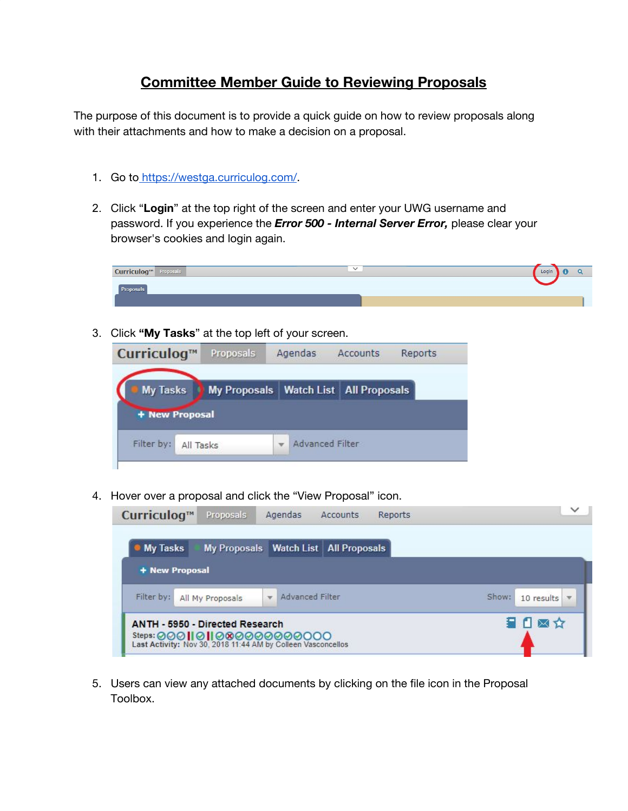## **Committee Member Guide to Reviewing Proposals**

The purpose of this document is to provide a quick guide on how to review proposals along with their attachments and how to make a decision on a proposal.

- 1. Go to [https://westga.curriculog.com/.](https://westga.curriculog.com/)
- 2. Click "**Login**" at the top right of the screen and enter your UWG username and password. If you experience the *Error 500 - Internal Server Error,* please clear your browser's cookies and login again.



3. Click **"My Tasks**" at the top left of your screen.



4. Hover over a proposal and click the "View Proposal" icon.



5. Users can view any attached documents by clicking on the file icon in the Proposal Toolbox.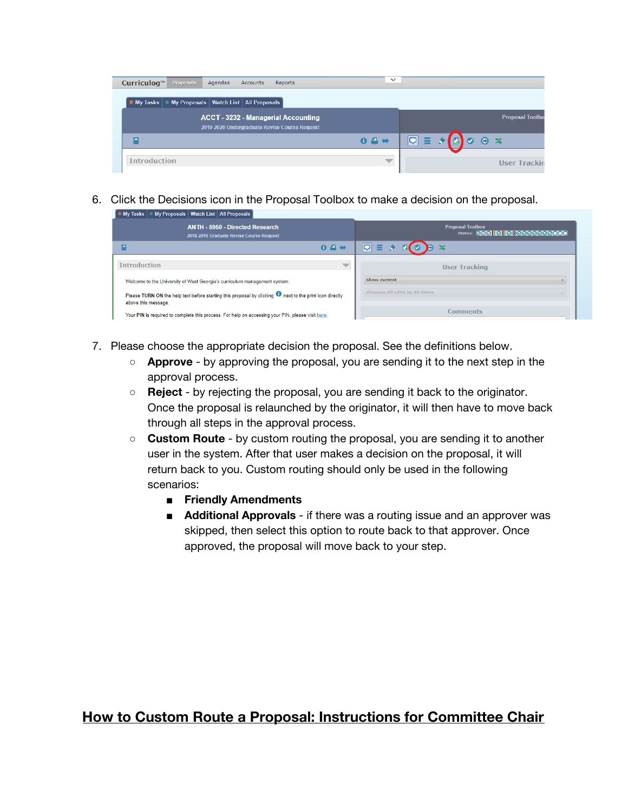| Curriculog™<br>Proposals<br>Agendas                            | Accounts<br>Reports                                                                         | $\checkmark$  |                                           |                        |                        |
|----------------------------------------------------------------|---------------------------------------------------------------------------------------------|---------------|-------------------------------------------|------------------------|------------------------|
| My Proposals   Watch List   All Proposals  <br><b>My Tasks</b> |                                                                                             |               |                                           |                        |                        |
|                                                                | <b>ACCT - 3232 - Managerial Accounting</b><br>2019-2020 Undergraduate Revise Course Request |               |                                           |                        | <b>Proposal Toolbo</b> |
|                                                                |                                                                                             | $04 +$        | $\boxed{\bigtriangledown} \equiv \bullet$ | $\circ$ $\circ$ $\ast$ |                        |
| <b>Introduction</b>                                            |                                                                                             | $\mathcal{P}$ |                                           |                        | <b>User Trackin</b>    |

6. Click the Decisions icon in the Proposal Toolbox to make a decision on the proposal.

| <b>My Tasks</b> | My Proposals   Watch List   All Proposals |  |
|-----------------|-------------------------------------------|--|
|                 |                                           |  |

| ANTH - 5950 - Directed Research<br>2018-2019 Graduate Revise Course Request                                                            | <b>Proposal Toolbox</b><br>Status: 00010100000000 |
|----------------------------------------------------------------------------------------------------------------------------------------|---------------------------------------------------|
| 04                                                                                                                                     | $\Box$                                            |
| <b>Introduction</b>                                                                                                                    | <b>User Tracking</b>                              |
| Welcome to the University of West Georgia's curriculum management system.                                                              | Show current                                      |
| Please TURN ON the help text before starting this proposal by clicking <b>O</b> next to the print icon directly<br>above this message. | Showing All Edits by All Users                    |
| Your PIN is required to complete this process. For help on accessing your PIN, please visit here.                                      | <b>Comments</b>                                   |

- 7. Please choose the appropriate decision the proposal. See the definitions below.
	- **Approve** by approving the proposal, you are sending it to the next step in the approval process.
	- **Reject** by rejecting the proposal, you are sending it back to the originator. Once the proposal is relaunched by the originator, it will then have to move back through all steps in the approval process.
	- **Custom Route** by custom routing the proposal, you are sending it to another user in the system. After that user makes a decision on the proposal, it will return back to you. Custom routing should only be used in the following scenarios:
		- **■ Friendly Amendments**
		- **Additional Approvals** if there was a routing issue and an approver was skipped, then select this option to route back to that approver. Once approved, the proposal will move back to your step.

## **How to Custom Route a Proposal: Instructions for Committee Chair**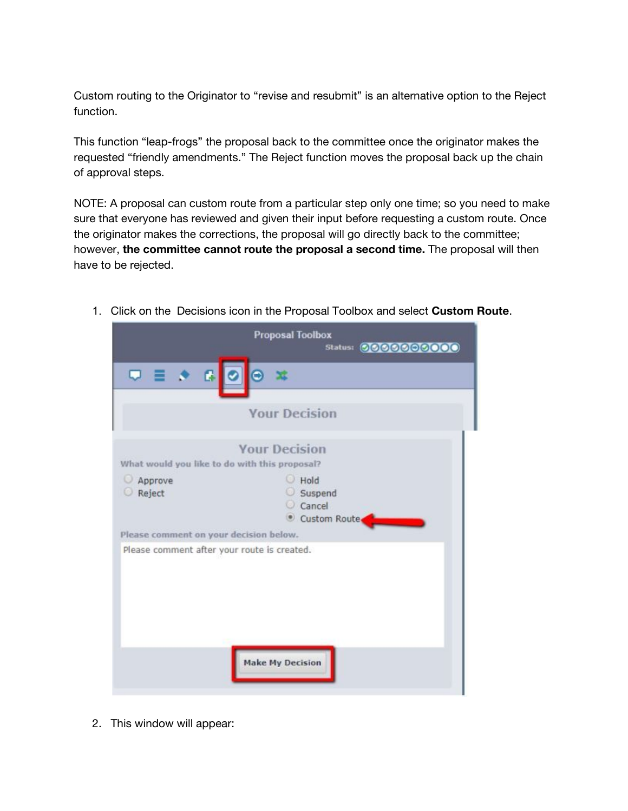Custom routing to the Originator to "revise and resubmit" is an alternative option to the Reject function.

This function "leap-frogs" the proposal back to the committee once the originator makes the requested "friendly amendments." The Reject function moves the proposal back up the chain of approval steps.

NOTE: A proposal can custom route from a particular step only one time; so you need to make sure that everyone has reviewed and given their input before requesting a custom route. Once the originator makes the corrections, the proposal will go directly back to the committee; however, **the committee cannot route the proposal a second time.** The proposal will then have to be rejected.



1. Click on the Decisions icon in the Proposal Toolbox and select **Custom Route**.

2. This window will appear: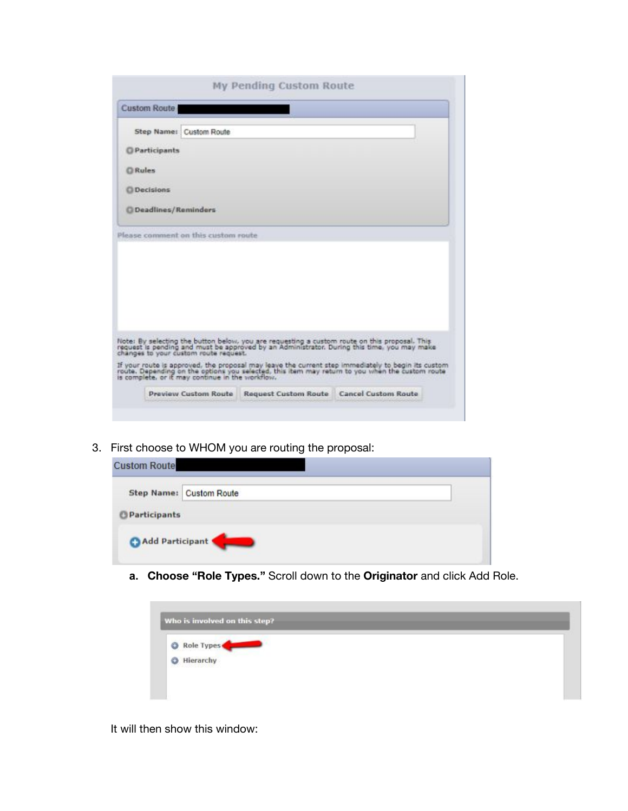| <b>Custom Route</b>     |                                       |                                                                                                                                                                                                                                                           |  |
|-------------------------|---------------------------------------|-----------------------------------------------------------------------------------------------------------------------------------------------------------------------------------------------------------------------------------------------------------|--|
| Step Name: Custom Route |                                       |                                                                                                                                                                                                                                                           |  |
| <b>O</b> Participants   |                                       |                                                                                                                                                                                                                                                           |  |
| <b>Q</b> Rules          |                                       |                                                                                                                                                                                                                                                           |  |
| <b>Q</b> Decisions      |                                       |                                                                                                                                                                                                                                                           |  |
| C Deadlines/Reminders   |                                       |                                                                                                                                                                                                                                                           |  |
|                         | Please comment on this custom route   |                                                                                                                                                                                                                                                           |  |
|                         | changes to your custom route request. | Note: By selecting the button below, you are requesting a custom route on this proposal. This<br>request is pending and must be approved by an Administrator. During this time, you may make                                                              |  |
|                         |                                       | If your route is approved, the proposal may leave the current step immediately to begin its custom<br>route. Depending on the options you selected, this item may return to you when the custom route<br>is complete, or it may continue in the workflow. |  |

3. First choose to WHOM you are routing the proposal:

| <b>Custom Route</b> |                         |  |
|---------------------|-------------------------|--|
|                     | Step Name: Custom Route |  |
| Participants        |                         |  |
| Add Participant     |                         |  |

**a. Choose "Role Types."** Scroll down to the **Originator** and click Add Role.



It will then show this window: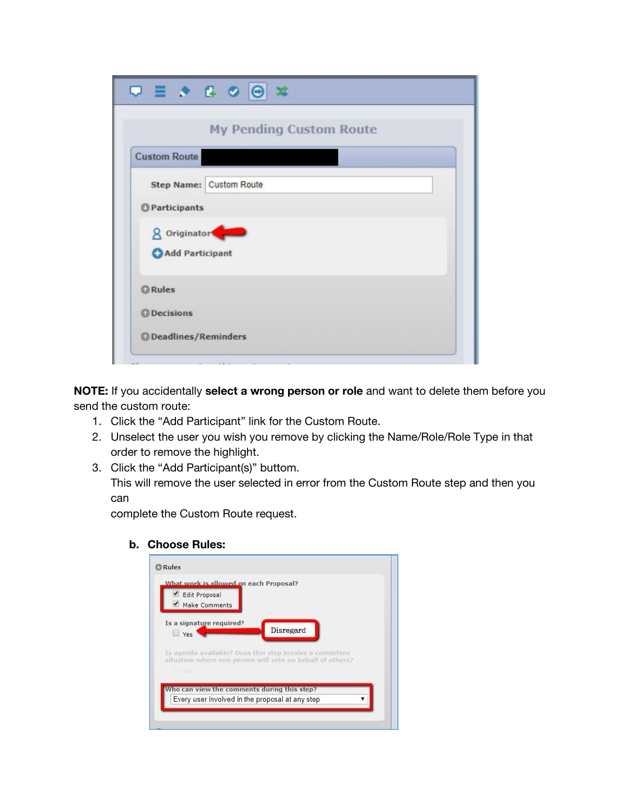|                      | $\Box \equiv \rightarrow \Box \circ \odot \rightarrow \mp$ |
|----------------------|------------------------------------------------------------|
|                      | <b>My Pending Custom Route</b>                             |
| <b>Custom Route</b>  |                                                            |
|                      | Step Name: Custom Route                                    |
| <b>OParticipants</b> |                                                            |
|                      | 8 Originator                                               |
|                      | Add Participant                                            |
| <b>Q</b> Rules       |                                                            |
| <b>O</b> Decisions   |                                                            |
|                      | <b>O</b> Deadlines/Reminders                               |

**NOTE:** If you accidentally **select a wrong person or role** and want to delete them before you send the custom route:

- 1. Click the "Add Participant" link for the Custom Route.
- 2. Unselect the user you wish you remove by clicking the Name/Role/Role Type in that order to remove the highlight.
- 3. Click the "Add Participant(s)" buttom.

This will remove the user selected in error from the Custom Route step and then you can

complete the Custom Route request.

**b. Choose Rules:**

| <b>Edit Proposal</b><br><b>Make Comments</b> | What work is allowed on each Proposal?                                                                               |           |  |
|----------------------------------------------|----------------------------------------------------------------------------------------------------------------------|-----------|--|
| Is a signature required?<br>Yes              |                                                                                                                      | Disregard |  |
|                                              | Is agenda available? Does this step involve a committee<br>situation where one person will vote on behalf of others? |           |  |
| <b>Sid Yes</b>                               |                                                                                                                      |           |  |